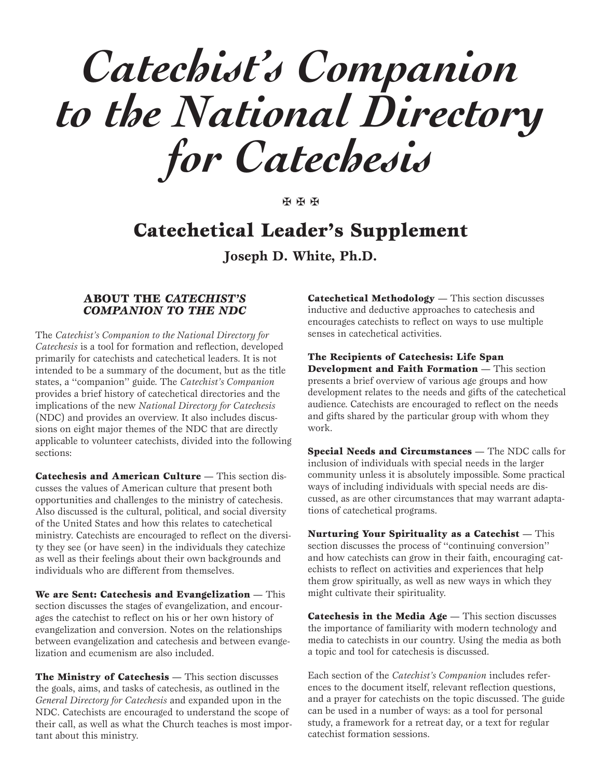*Catechist's Companion to the National Directory for Catechesis*

✠ ✠ ✠

# **Catechetical Leader's Supplement**

**Joseph D. White, Ph.D.**

## **ABOUT THE** *CATECHIST'S COMPANION TO THE NDC*

The *Catechist's Companion to the National Directory for Catechesis* is a tool for formation and reflection, developed primarily for catechists and catechetical leaders. It is not intended to be a summary of the document, but as the title states, a ''companion'' guide. The *Catechist's Companion* provides a brief history of catechetical directories and the implications of the new *National Directory for Catechesis* (NDC) and provides an overview. It also includes discussions on eight major themes of the NDC that are directly applicable to volunteer catechists, divided into the following sections:

**Catechesis and American Culture** — This section discusses the values of American culture that present both opportunities and challenges to the ministry of catechesis. Also discussed is the cultural, political, and social diversity of the United States and how this relates to catechetical ministry. Catechists are encouraged to reflect on the diversity they see (or have seen) in the individuals they catechize as well as their feelings about their own backgrounds and individuals who are different from themselves.

**We are Sent: Catechesis and Evangelization** — This section discusses the stages of evangelization, and encourages the catechist to reflect on his or her own history of evangelization and conversion. Notes on the relationships between evangelization and catechesis and between evangelization and ecumenism are also included.

**The Ministry of Catechesis** — This section discusses the goals, aims, and tasks of catechesis, as outlined in the *General Directory for Catechesis* and expanded upon in the NDC. Catechists are encouraged to understand the scope of their call, as well as what the Church teaches is most important about this ministry.

**Catechetical Methodology** — This section discusses inductive and deductive approaches to catechesis and encourages catechists to reflect on ways to use multiple senses in catechetical activities.

**The Recipients of Catechesis: Life Span Development and Faith Formation** — This section presents a brief overview of various age groups and how development relates to the needs and gifts of the catechetical audience. Catechists are encouraged to reflect on the needs and gifts shared by the particular group with whom they work.

**Special Needs and Circumstances** — The NDC calls for inclusion of individuals with special needs in the larger community unless it is absolutely impossible. Some practical ways of including individuals with special needs are discussed, as are other circumstances that may warrant adaptations of catechetical programs.

**Nurturing Your Spirituality as a Catechist** — This section discusses the process of ''continuing conversion'' and how catechists can grow in their faith, encouraging catechists to reflect on activities and experiences that help them grow spiritually, as well as new ways in which they might cultivate their spirituality.

**Catechesis in the Media Age** — This section discusses the importance of familiarity with modern technology and media to catechists in our country. Using the media as both a topic and tool for catechesis is discussed.

Each section of the *Catechist's Companion* includes references to the document itself, relevant reflection questions, and a prayer for catechists on the topic discussed. The guide can be used in a number of ways: as a tool for personal study, a framework for a retreat day, or a text for regular catechist formation sessions.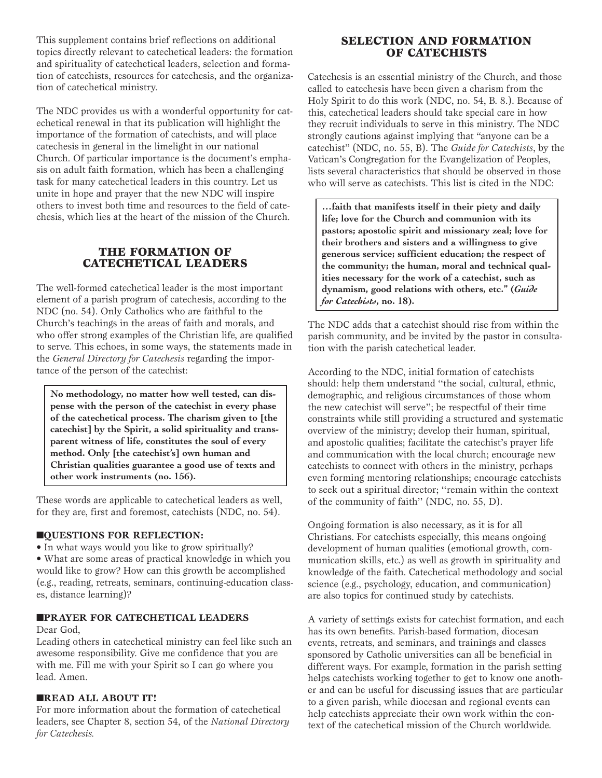This supplement contains brief reflections on additional topics directly relevant to catechetical leaders: the formation and spirituality of catechetical leaders, selection and formation of catechists, resources for catechesis, and the organization of catechetical ministry.

The NDC provides us with a wonderful opportunity for catechetical renewal in that its publication will highlight the importance of the formation of catechists, and will place catechesis in general in the limelight in our national Church. Of particular importance is the document's emphasis on adult faith formation, which has been a challenging task for many catechetical leaders in this country. Let us unite in hope and prayer that the new NDC will inspire others to invest both time and resources to the field of catechesis, which lies at the heart of the mission of the Church.

# **THE FORMATION OF CATECHETICAL LEADERS**

The well-formed catechetical leader is the most important element of a parish program of catechesis, according to the NDC (no. 54). Only Catholics who are faithful to the Church's teachings in the areas of faith and morals, and who offer strong examples of the Christian life, are qualified to serve. This echoes, in some ways, the statements made in the *General Directory for Catechesis* regarding the importance of the person of the catechist:

**No methodology, no matter how well tested, can dispense with the person of the catechist in every phase of the catechetical process. The charism given to [the catechist] by the Spirit, a solid spirituality and transparent witness of life, constitutes the soul of every method. Only [the catechist's] own human and Christian qualities guarantee a good use of texts and other work instruments (no. 156).**

These words are applicable to catechetical leaders as well, for they are, first and foremost, catechists (NDC, no. 54).

## **nQUESTIONS FOR REFLECTION:**

- In what ways would you like to grow spiritually?
- What are some areas of practical knowledge in which you would like to grow? How can this growth be accomplished (e.g., reading, retreats, seminars, continuing-education classes, distance learning)?

#### **NPRAYER FOR CATECHETICAL LEADERS**

#### Dear God,

Leading others in catechetical ministry can feel like such an awesome responsibility. Give me confidence that you are with me. Fill me with your Spirit so I can go where you lead. Amen.

## **NREAD ALL ABOUT IT!**

For more information about the formation of catechetical leaders, see Chapter 8, section 54, of the *National Directory for Catechesis.*

# **SELECTION AND FORMATION OF CATECHISTS**

Catechesis is an essential ministry of the Church, and those called to catechesis have been given a charism from the Holy Spirit to do this work (NDC, no. 54, B. 8.). Because of this, catechetical leaders should take special care in how they recruit individuals to serve in this ministry. The NDC strongly cautions against implying that "anyone can be a catechist" (NDC, no. 55, B). The *Guide for Catechists*, by the Vatican's Congregation for the Evangelization of Peoples, lists several characteristics that should be observed in those who will serve as catechists. This list is cited in the NDC:

**…faith that manifests itself in their piety and daily life; love for the Church and communion with its pastors; apostolic spirit and missionary zeal; love for their brothers and sisters and a willingness to give generous service; sufficient education; the respect of the community; the human, moral and technical qualities necessary for the work of a catechist, such as dynamism, good relations with others, etc." (***Guide for Catechists***, no. 18).**

The NDC adds that a catechist should rise from within the parish community, and be invited by the pastor in consultation with the parish catechetical leader.

According to the NDC, initial formation of catechists should: help them understand ''the social, cultural, ethnic, demographic, and religious circumstances of those whom the new catechist will serve''; be respectful of their time constraints while still providing a structured and systematic overview of the ministry; develop their human, spiritual, and apostolic qualities; facilitate the catechist's prayer life and communication with the local church; encourage new catechists to connect with others in the ministry, perhaps even forming mentoring relationships; encourage catechists to seek out a spiritual director; ''remain within the context of the community of faith'' (NDC, no. 55, D).

Ongoing formation is also necessary, as it is for all Christians. For catechists especially, this means ongoing development of human qualities (emotional growth, communication skills, etc.) as well as growth in spirituality and knowledge of the faith. Catechetical methodology and social science (e.g., psychology, education, and communication) are also topics for continued study by catechists.

A variety of settings exists for catechist formation, and each has its own benefits. Parish-based formation, diocesan events, retreats, and seminars, and trainings and classes sponsored by Catholic universities can all be beneficial in different ways. For example, formation in the parish setting helps catechists working together to get to know one another and can be useful for discussing issues that are particular to a given parish, while diocesan and regional events can help catechists appreciate their own work within the context of the catechetical mission of the Church worldwide.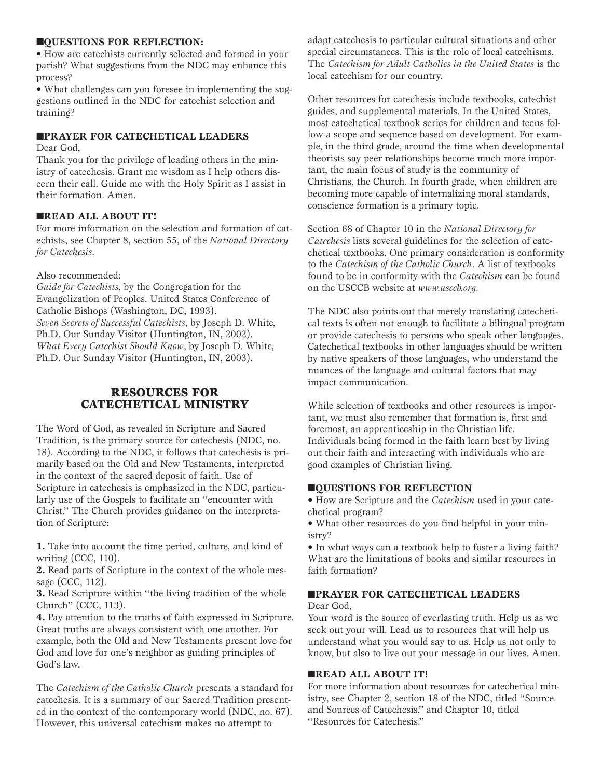#### **NOUESTIONS FOR REFLECTION:**

• How are catechists currently selected and formed in your parish? What suggestions from the NDC may enhance this process?

• What challenges can you foresee in implementing the suggestions outlined in the NDC for catechist selection and training?

#### **NPRAYER FOR CATECHETICAL LEADERS**

Dear God,

Thank you for the privilege of leading others in the ministry of catechesis. Grant me wisdom as I help others discern their call. Guide me with the Holy Spirit as I assist in their formation. Amen.

## n**READ ALL ABOUT IT!**

For more information on the selection and formation of catechists, see Chapter 8, section 55, of the *National Directory for Catechesis*.

#### Also recommended:

*Guide for Catechists*, by the Congregation for the Evangelization of Peoples. United States Conference of Catholic Bishops (Washington, DC, 1993). *Seven Secrets of Successful Catechists*, by Joseph D. White, Ph.D. Our Sunday Visitor (Huntington, IN, 2002). *What Every Catechist Should Know*, by Joseph D. White, Ph.D. Our Sunday Visitor (Huntington, IN, 2003).

# **RESOURCES FOR CATECHETICAL MINISTRY**

The Word of God, as revealed in Scripture and Sacred Tradition, is the primary source for catechesis (NDC, no. 18). According to the NDC, it follows that catechesis is primarily based on the Old and New Testaments, interpreted in the context of the sacred deposit of faith. Use of Scripture in catechesis is emphasized in the NDC, particularly use of the Gospels to facilitate an ''encounter with Christ.'' The Church provides guidance on the interpretation of Scripture:

**1.** Take into account the time period, culture, and kind of writing (CCC, 110).

**2.** Read parts of Scripture in the context of the whole message (CCC, 112).

**3.** Read Scripture within ''the living tradition of the whole Church'' (CCC, 113).

**4.** Pay attention to the truths of faith expressed in Scripture. Great truths are always consistent with one another. For example, both the Old and New Testaments present love for God and love for one's neighbor as guiding principles of God's law.

The *Catechism of the Catholic Church* presents a standard for catechesis. It is a summary of our Sacred Tradition presented in the context of the contemporary world (NDC, no. 67). However, this universal catechism makes no attempt to

adapt catechesis to particular cultural situations and other special circumstances. This is the role of local catechisms. The *Catechism for Adult Catholics in the United States* is the local catechism for our country.

Other resources for catechesis include textbooks, catechist guides, and supplemental materials. In the United States, most catechetical textbook series for children and teens follow a scope and sequence based on development. For example, in the third grade, around the time when developmental theorists say peer relationships become much more important, the main focus of study is the community of Christians, the Church. In fourth grade, when children are becoming more capable of internalizing moral standards, conscience formation is a primary topic.

Section 68 of Chapter 10 in the *National Directory for Catechesis* lists several guidelines for the selection of catechetical textbooks. One primary consideration is conformity to the *Catechism of the Catholic Church*. A list of textbooks found to be in conformity with the *Catechism* can be found on the USCCB website at *www.usccb.org*.

The NDC also points out that merely translating catechetical texts is often not enough to facilitate a bilingual program or provide catechesis to persons who speak other languages. Catechetical textbooks in other languages should be written by native speakers of those languages, who understand the nuances of the language and cultural factors that may impact communication.

While selection of textbooks and other resources is important, we must also remember that formation is, first and foremost, an apprenticeship in the Christian life. Individuals being formed in the faith learn best by living out their faith and interacting with individuals who are good examples of Christian living.

#### **nQUESTIONS FOR REFLECTION**

• How are Scripture and the *Catechism* used in your catechetical program?

• What other resources do you find helpful in your ministry?

• In what ways can a textbook help to foster a living faith? What are the limitations of books and similar resources in faith formation?

## **NPRAYER FOR CATECHETICAL LEADERS**

Dear God,

Your word is the source of everlasting truth. Help us as we seek out your will. Lead us to resources that will help us understand what you would say to us. Help us not only to know, but also to live out your message in our lives. Amen.

## **NREAD ALL ABOUT IT!**

For more information about resources for catechetical ministry, see Chapter 2, section 18 of the NDC, titled ''Source and Sources of Catechesis,'' and Chapter 10, titled ''Resources for Catechesis.''